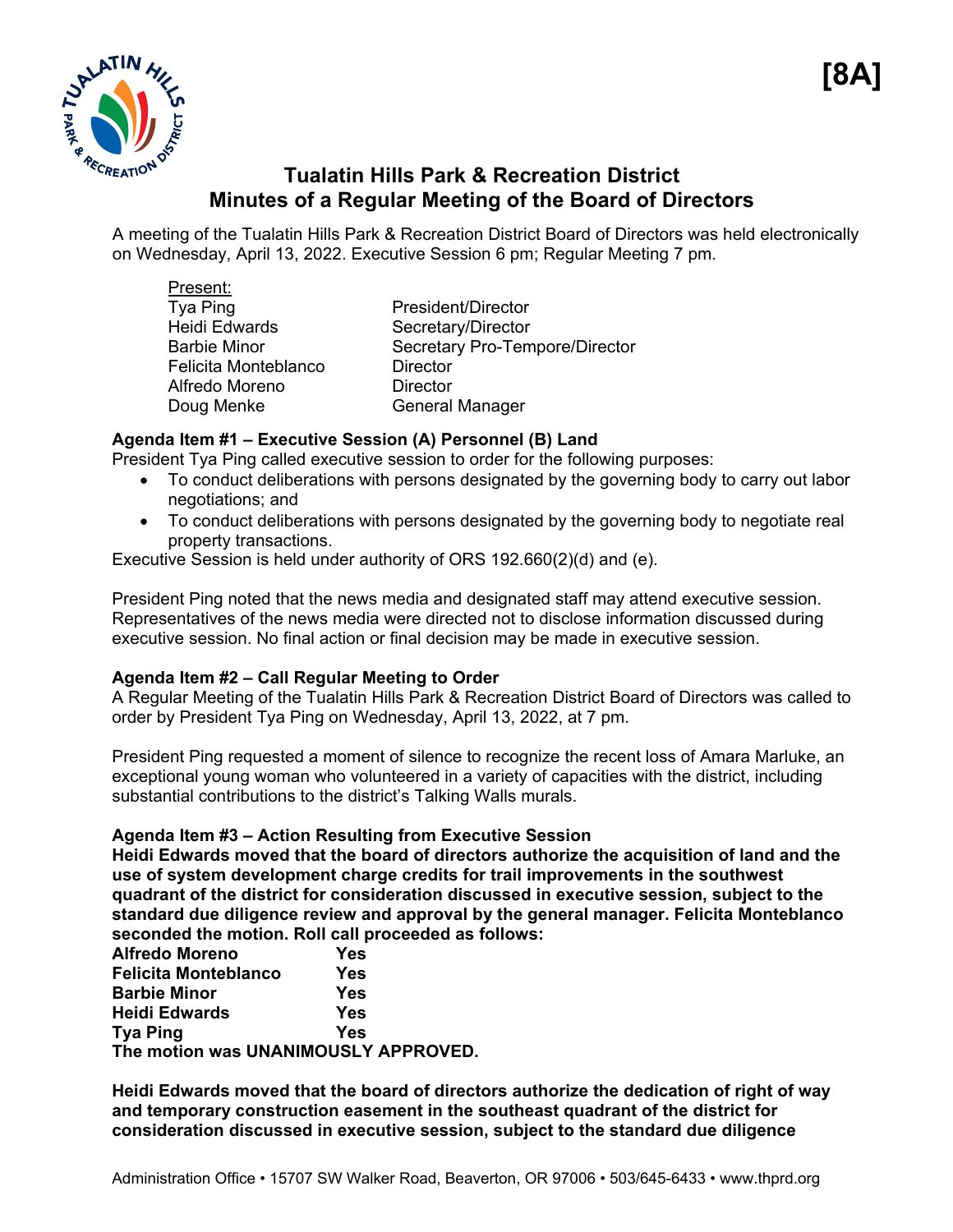

# **Tualatin Hills Park & Recreation District Minutes of a Regular Meeting of the Board of Directors**

A meeting of the Tualatin Hills Park & Recreation District Board of Directors was held electronically on Wednesday, April 13, 2022. Executive Session 6 pm; Regular Meeting 7 pm.

| Present:             |                                |
|----------------------|--------------------------------|
| Tya Ping             | President/Director             |
| <b>Heidi Edwards</b> | Secretary/Director             |
| <b>Barbie Minor</b>  | Secretary Pro-Tempore/Director |
| Felicita Monteblanco | <b>Director</b>                |
| Alfredo Moreno       | <b>Director</b>                |
| Doug Menke           | <b>General Manager</b>         |
|                      |                                |

# **Agenda Item #1 – Executive Session (A) Personnel (B) Land**

President Tya Ping called executive session to order for the following purposes:

- To conduct deliberations with persons designated by the governing body to carry out labor negotiations; and
- To conduct deliberations with persons designated by the governing body to negotiate real property transactions.

Executive Session is held under authority of ORS 192.660(2)(d) and (e).

President Ping noted that the news media and designated staff may attend executive session. Representatives of the news media were directed not to disclose information discussed during executive session. No final action or final decision may be made in executive session.

#### **Agenda Item #2 – Call Regular Meeting to Order**

A Regular Meeting of the Tualatin Hills Park & Recreation District Board of Directors was called to order by President Tya Ping on Wednesday, April 13, 2022, at 7 pm.

President Ping requested a moment of silence to recognize the recent loss of Amara Marluke, an exceptional young woman who volunteered in a variety of capacities with the district, including substantial contributions to the district's Talking Walls murals.

#### **Agenda Item #3 – Action Resulting from Executive Session**

**Heidi Edwards moved that the board of directors authorize the acquisition of land and the use of system development charge credits for trail improvements in the southwest quadrant of the district for consideration discussed in executive session, subject to the standard due diligence review and approval by the general manager. Felicita Monteblanco seconded the motion. Roll call proceeded as follows:** 

| <b>Alfredo Moreno</b>                | Yes |
|--------------------------------------|-----|
| <b>Felicita Monteblanco</b>          | Yes |
| <b>Barbie Minor</b>                  | Yes |
| <b>Heidi Edwards</b>                 | Yes |
| <b>Tya Ping</b>                      | Yes |
| The motion was UNANIMOUSLY APPROVED. |     |

**Heidi Edwards moved that the board of directors authorize the dedication of right of way and temporary construction easement in the southeast quadrant of the district for consideration discussed in executive session, subject to the standard due diligence**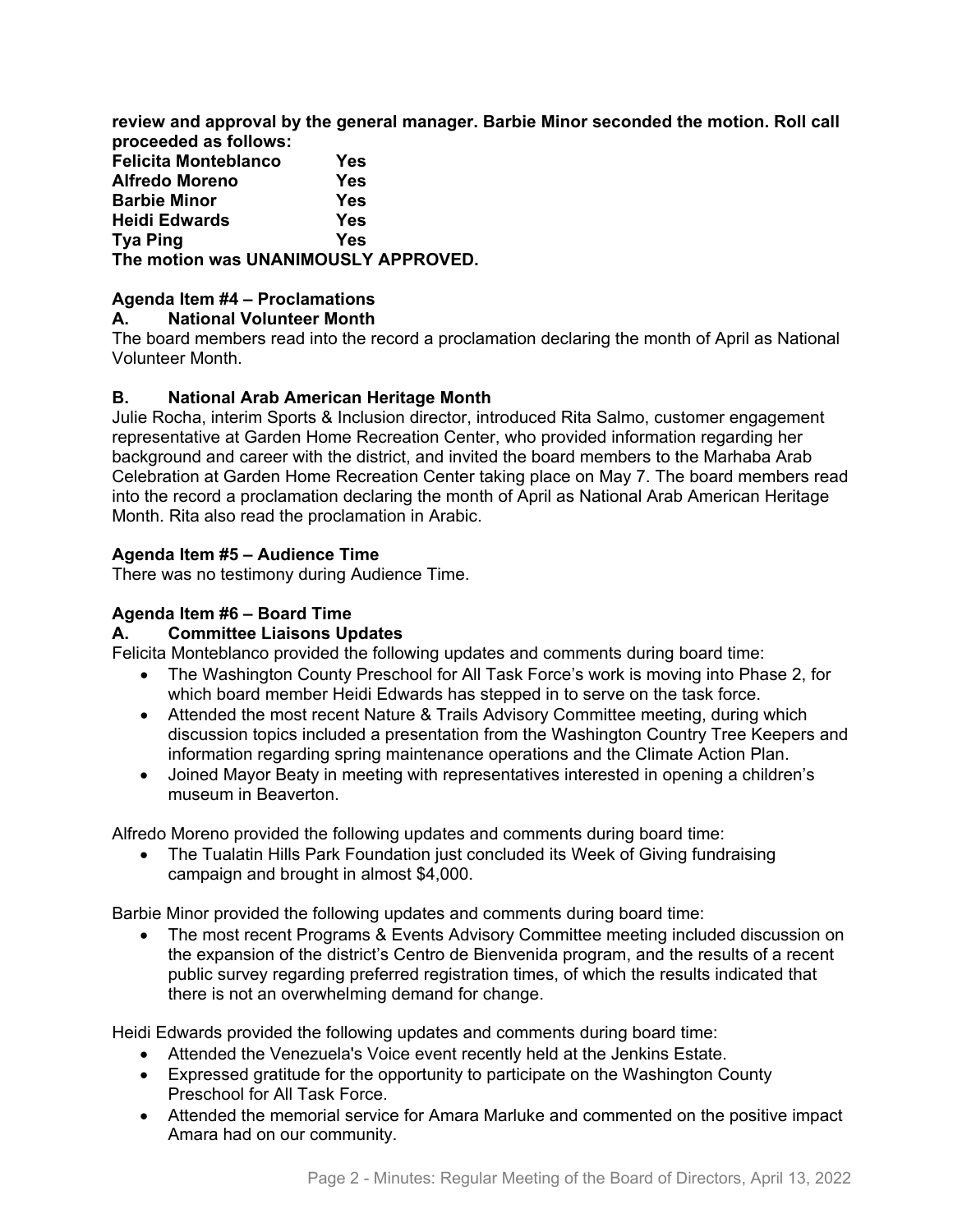**review and approval by the general manager. Barbie Minor seconded the motion. Roll call proceeded as follows:** 

**Felicita Monteblanco Yes Alfredo Moreno Yes Barbie Minor Yes Heidi Edwards Tya Ping Yes The motion was UNANIMOUSLY APPROVED.**

# **Agenda Item #4 – Proclamations**

#### **A. National Volunteer Month**

The board members read into the record a proclamation declaring the month of April as National Volunteer Month.

# **B. National Arab American Heritage Month**

Julie Rocha, interim Sports & Inclusion director, introduced Rita Salmo, customer engagement representative at Garden Home Recreation Center, who provided information regarding her background and career with the district, and invited the board members to the Marhaba Arab Celebration at Garden Home Recreation Center taking place on May 7. The board members read into the record a proclamation declaring the month of April as National Arab American Heritage Month. Rita also read the proclamation in Arabic.

# **Agenda Item #5 – Audience Time**

There was no testimony during Audience Time.

#### **Agenda Item #6 – Board Time**

#### **A. Committee Liaisons Updates**

Felicita Monteblanco provided the following updates and comments during board time:

- The Washington County Preschool for All Task Force's work is moving into Phase 2, for which board member Heidi Edwards has stepped in to serve on the task force.
- Attended the most recent Nature & Trails Advisory Committee meeting, during which discussion topics included a presentation from the Washington Country Tree Keepers and information regarding spring maintenance operations and the Climate Action Plan.
- Joined Mayor Beaty in meeting with representatives interested in opening a children's museum in Beaverton.

Alfredo Moreno provided the following updates and comments during board time:

• The Tualatin Hills Park Foundation just concluded its Week of Giving fundraising campaign and brought in almost \$4,000.

Barbie Minor provided the following updates and comments during board time:

• The most recent Programs & Events Advisory Committee meeting included discussion on the expansion of the district's Centro de Bienvenida program, and the results of a recent public survey regarding preferred registration times, of which the results indicated that there is not an overwhelming demand for change.

Heidi Edwards provided the following updates and comments during board time:

- Attended the Venezuela's Voice event recently held at the Jenkins Estate.
- Expressed gratitude for the opportunity to participate on the Washington County Preschool for All Task Force.
- Attended the memorial service for Amara Marluke and commented on the positive impact Amara had on our community.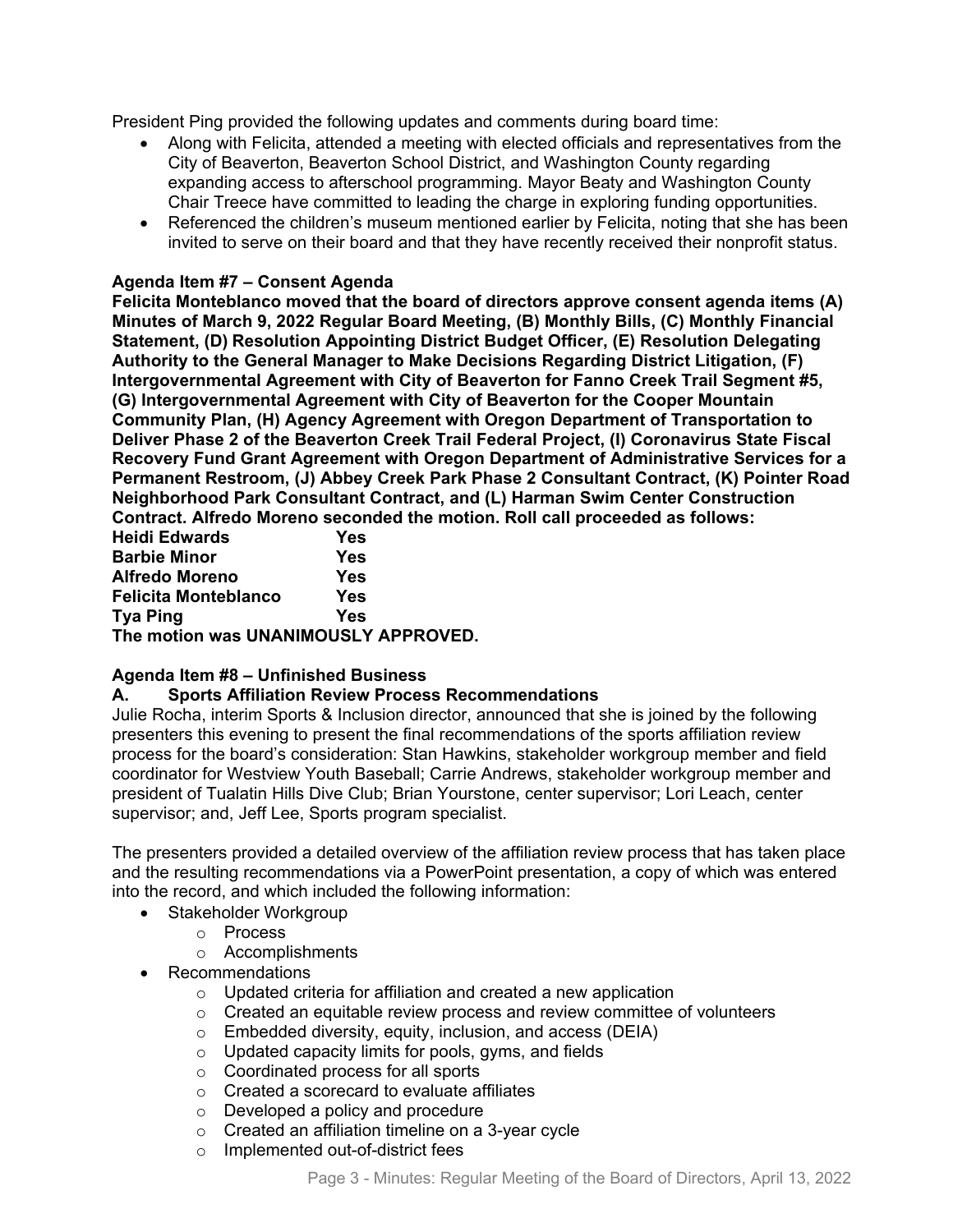President Ping provided the following updates and comments during board time:

- Along with Felicita, attended a meeting with elected officials and representatives from the City of Beaverton, Beaverton School District, and Washington County regarding expanding access to afterschool programming. Mayor Beaty and Washington County Chair Treece have committed to leading the charge in exploring funding opportunities.
- Referenced the children's museum mentioned earlier by Felicita, noting that she has been invited to serve on their board and that they have recently received their nonprofit status.

#### **Agenda Item #7 – Consent Agenda**

**Felicita Monteblanco moved that the board of directors approve consent agenda items (A) Minutes of March 9, 2022 Regular Board Meeting, (B) Monthly Bills, (C) Monthly Financial Statement, (D) Resolution Appointing District Budget Officer, (E) Resolution Delegating Authority to the General Manager to Make Decisions Regarding District Litigation, (F) Intergovernmental Agreement with City of Beaverton for Fanno Creek Trail Segment #5, (G) Intergovernmental Agreement with City of Beaverton for the Cooper Mountain Community Plan, (H) Agency Agreement with Oregon Department of Transportation to Deliver Phase 2 of the Beaverton Creek Trail Federal Project, (I) Coronavirus State Fiscal Recovery Fund Grant Agreement with Oregon Department of Administrative Services for a Permanent Restroom, (J) Abbey Creek Park Phase 2 Consultant Contract, (K) Pointer Road Neighborhood Park Consultant Contract, and (L) Harman Swim Center Construction Contract. Alfredo Moreno seconded the motion. Roll call proceeded as follows:** 

| <b>Heidi Edwards</b>                 | Yes |
|--------------------------------------|-----|
| <b>Barbie Minor</b>                  | Yes |
| <b>Alfredo Moreno</b>                | Yes |
| <b>Felicita Monteblanco</b>          | Yes |
| <b>Tya Ping</b>                      | Yes |
| The motion was UNANIMOUSLY APPROVED. |     |

#### **Agenda Item #8 – Unfinished Business**

#### **A. Sports Affiliation Review Process Recommendations**

Julie Rocha, interim Sports & Inclusion director, announced that she is joined by the following presenters this evening to present the final recommendations of the sports affiliation review process for the board's consideration: Stan Hawkins, stakeholder workgroup member and field coordinator for Westview Youth Baseball; Carrie Andrews, stakeholder workgroup member and president of Tualatin Hills Dive Club; Brian Yourstone, center supervisor; Lori Leach, center supervisor; and, Jeff Lee, Sports program specialist.

The presenters provided a detailed overview of the affiliation review process that has taken place and the resulting recommendations via a PowerPoint presentation, a copy of which was entered into the record, and which included the following information:

- Stakeholder Workgroup
	- o Process
	- o Accomplishments
- Recommendations
	- o Updated criteria for affiliation and created a new application
	- o Created an equitable review process and review committee of volunteers
	- o Embedded diversity, equity, inclusion, and access (DEIA)
	- o Updated capacity limits for pools, gyms, and fields
	- o Coordinated process for all sports
	- o Created a scorecard to evaluate affiliates
	- o Developed a policy and procedure
	- o Created an affiliation timeline on a 3-year cycle
	- o Implemented out-of-district fees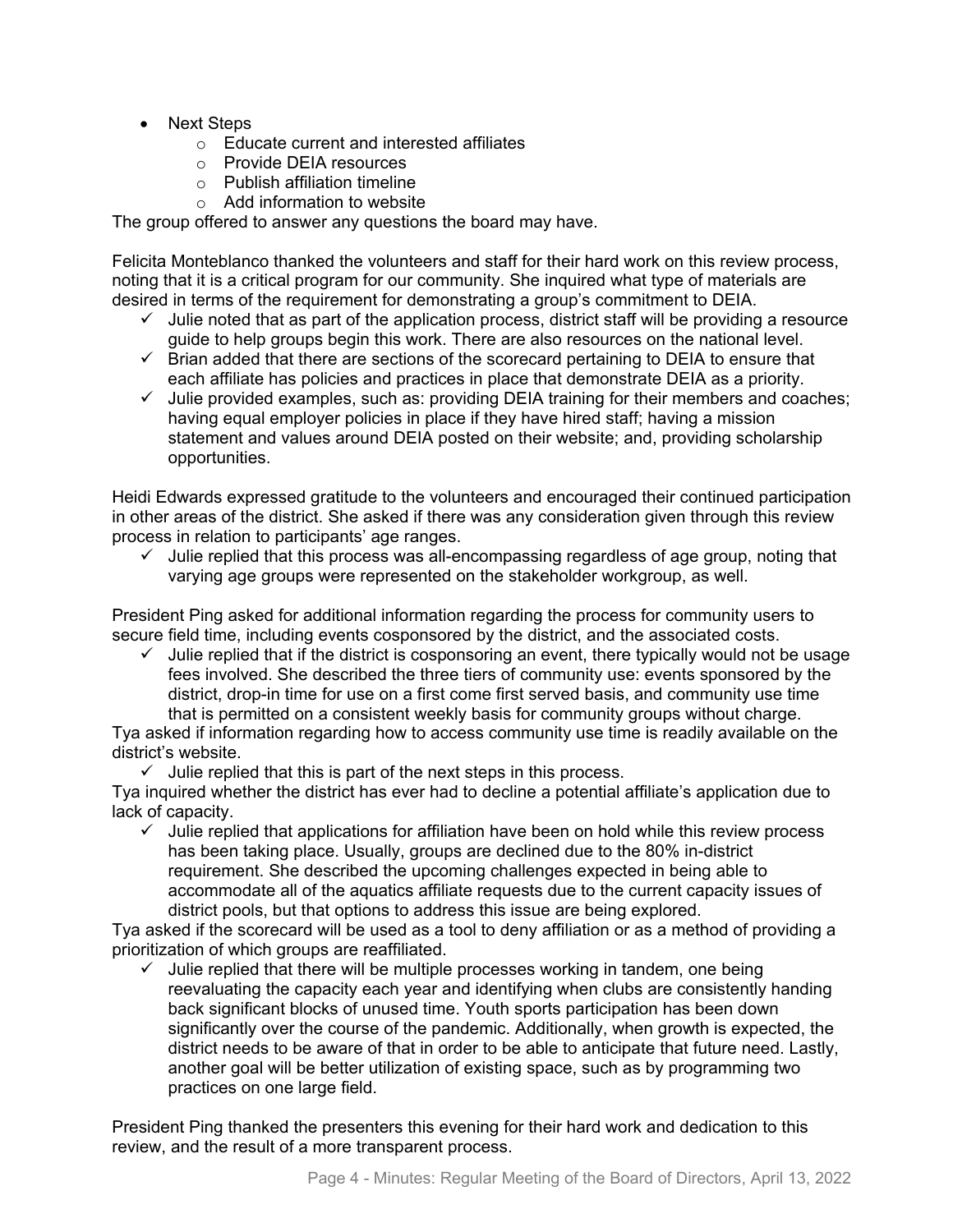- Next Steps
	- o Educate current and interested affiliates
	- o Provide DEIA resources
	- o Publish affiliation timeline
	- $\circ$  Add information to website

The group offered to answer any questions the board may have.

Felicita Monteblanco thanked the volunteers and staff for their hard work on this review process, noting that it is a critical program for our community. She inquired what type of materials are desired in terms of the requirement for demonstrating a group's commitment to DEIA.

- $\checkmark$  Julie noted that as part of the application process, district staff will be providing a resource guide to help groups begin this work. There are also resources on the national level.
- $\checkmark$  Brian added that there are sections of the scorecard pertaining to DEIA to ensure that each affiliate has policies and practices in place that demonstrate DEIA as a priority.
- $\checkmark$  Julie provided examples, such as: providing DEIA training for their members and coaches; having equal employer policies in place if they have hired staff; having a mission statement and values around DEIA posted on their website; and, providing scholarship opportunities.

Heidi Edwards expressed gratitude to the volunteers and encouraged their continued participation in other areas of the district. She asked if there was any consideration given through this review process in relation to participants' age ranges.

 $\checkmark$  Julie replied that this process was all-encompassing regardless of age group, noting that varying age groups were represented on the stakeholder workgroup, as well.

President Ping asked for additional information regarding the process for community users to secure field time, including events cosponsored by the district, and the associated costs.

 $\checkmark$  Julie replied that if the district is cosponsoring an event, there typically would not be usage fees involved. She described the three tiers of community use: events sponsored by the district, drop-in time for use on a first come first served basis, and community use time that is permitted on a consistent weekly basis for community groups without charge.

Tya asked if information regarding how to access community use time is readily available on the district's website.

 $\checkmark$  Julie replied that this is part of the next steps in this process.

Tya inquired whether the district has ever had to decline a potential affiliate's application due to lack of capacity.

 $\checkmark$  Julie replied that applications for affiliation have been on hold while this review process has been taking place. Usually, groups are declined due to the 80% in-district requirement. She described the upcoming challenges expected in being able to accommodate all of the aquatics affiliate requests due to the current capacity issues of district pools, but that options to address this issue are being explored.

Tya asked if the scorecard will be used as a tool to deny affiliation or as a method of providing a prioritization of which groups are reaffiliated.

 $\checkmark$  Julie replied that there will be multiple processes working in tandem, one being reevaluating the capacity each year and identifying when clubs are consistently handing back significant blocks of unused time. Youth sports participation has been down significantly over the course of the pandemic. Additionally, when growth is expected, the district needs to be aware of that in order to be able to anticipate that future need. Lastly, another goal will be better utilization of existing space, such as by programming two practices on one large field.

President Ping thanked the presenters this evening for their hard work and dedication to this review, and the result of a more transparent process.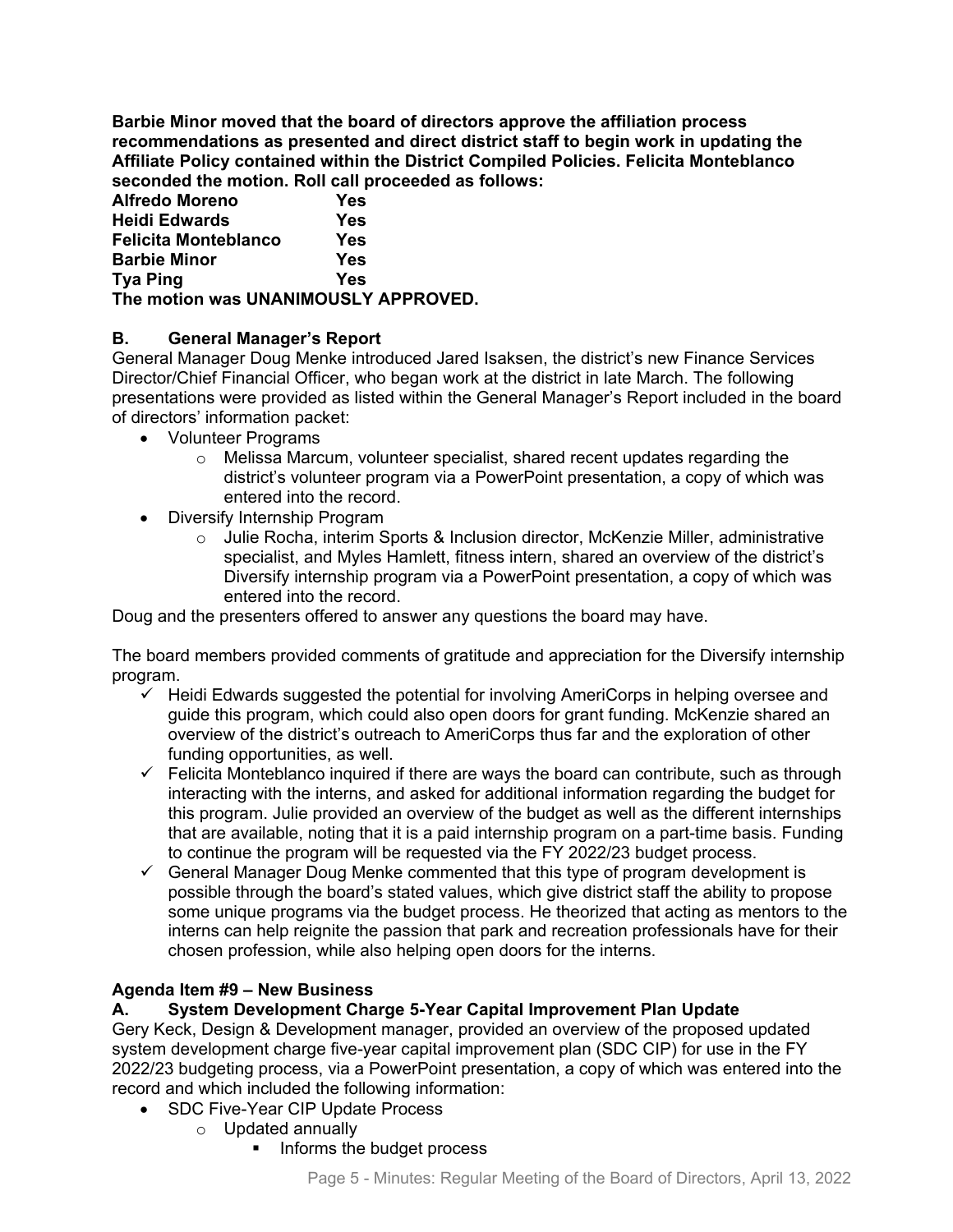**Barbie Minor moved that the board of directors approve the affiliation process recommendations as presented and direct district staff to begin work in updating the Affiliate Policy contained within the District Compiled Policies. Felicita Monteblanco seconded the motion. Roll call proceeded as follows:** 

| Alfredo Moreno                       | Yes |
|--------------------------------------|-----|
| Heidi Edwards                        | Yes |
| Felicita Monteblanco                 | Yes |
| <b>Barbie Minor</b>                  | Yes |
| Tya Ping                             | Yes |
| The motion was UNANIMOUSLY APPROVED. |     |

# **B. General Manager's Report**

General Manager Doug Menke introduced Jared Isaksen, the district's new Finance Services Director/Chief Financial Officer, who began work at the district in late March. The following presentations were provided as listed within the General Manager's Report included in the board of directors' information packet:

- Volunteer Programs
	- $\circ$  Melissa Marcum, volunteer specialist, shared recent updates regarding the district's volunteer program via a PowerPoint presentation, a copy of which was entered into the record.
- Diversify Internship Program
	- o Julie Rocha, interim Sports & Inclusion director, McKenzie Miller, administrative specialist, and Myles Hamlett, fitness intern, shared an overview of the district's Diversify internship program via a PowerPoint presentation, a copy of which was entered into the record.

Doug and the presenters offered to answer any questions the board may have.

The board members provided comments of gratitude and appreciation for the Diversify internship program.

- $\checkmark$  Heidi Edwards suggested the potential for involving AmeriCorps in helping oversee and guide this program, which could also open doors for grant funding. McKenzie shared an overview of the district's outreach to AmeriCorps thus far and the exploration of other funding opportunities, as well.
- $\checkmark$  Felicita Monteblanco inquired if there are ways the board can contribute, such as through interacting with the interns, and asked for additional information regarding the budget for this program. Julie provided an overview of the budget as well as the different internships that are available, noting that it is a paid internship program on a part-time basis. Funding to continue the program will be requested via the FY 2022/23 budget process.
- $\checkmark$  General Manager Doug Menke commented that this type of program development is possible through the board's stated values, which give district staff the ability to propose some unique programs via the budget process. He theorized that acting as mentors to the interns can help reignite the passion that park and recreation professionals have for their chosen profession, while also helping open doors for the interns.

#### **Agenda Item #9 – New Business**

# **A. System Development Charge 5-Year Capital Improvement Plan Update**

Gery Keck, Design & Development manager, provided an overview of the proposed updated system development charge five-year capital improvement plan (SDC CIP) for use in the FY 2022/23 budgeting process, via a PowerPoint presentation, a copy of which was entered into the record and which included the following information:

- SDC Five-Year CIP Update Process
	- o Updated annually
		- **Informs the budget process**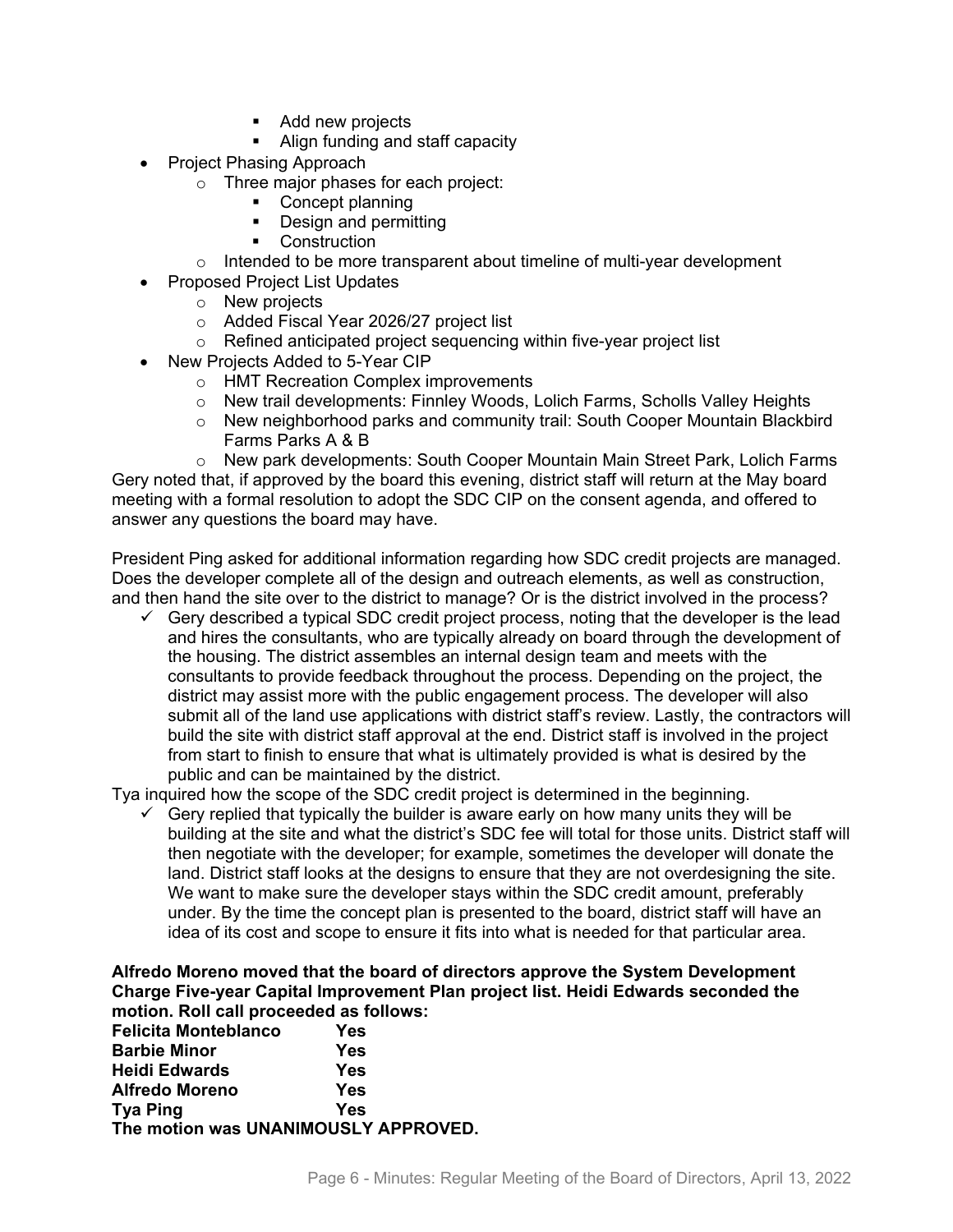- Add new projects
- Align funding and staff capacity
- Project Phasing Approach
	- o Three major phases for each project:
		- Concept planning
		- Design and permitting
		- Construction
	- $\circ$  Intended to be more transparent about timeline of multi-year development
- Proposed Project List Updates
	- o New projects
	- o Added Fiscal Year 2026/27 project list
	- $\circ$  Refined anticipated project sequencing within five-year project list
- New Projects Added to 5-Year CIP
	- o HMT Recreation Complex improvements
	- o New trail developments: Finnley Woods, Lolich Farms, Scholls Valley Heights
	- o New neighborhood parks and community trail: South Cooper Mountain Blackbird Farms Parks A & B

o New park developments: South Cooper Mountain Main Street Park, Lolich Farms Gery noted that, if approved by the board this evening, district staff will return at the May board meeting with a formal resolution to adopt the SDC CIP on the consent agenda, and offered to answer any questions the board may have.

President Ping asked for additional information regarding how SDC credit projects are managed. Does the developer complete all of the design and outreach elements, as well as construction, and then hand the site over to the district to manage? Or is the district involved in the process?

 $\checkmark$  Gery described a typical SDC credit project process, noting that the developer is the lead and hires the consultants, who are typically already on board through the development of the housing. The district assembles an internal design team and meets with the consultants to provide feedback throughout the process. Depending on the project, the district may assist more with the public engagement process. The developer will also submit all of the land use applications with district staff's review. Lastly, the contractors will build the site with district staff approval at the end. District staff is involved in the project from start to finish to ensure that what is ultimately provided is what is desired by the public and can be maintained by the district.

Tya inquired how the scope of the SDC credit project is determined in the beginning.

 $\checkmark$  Gery replied that typically the builder is aware early on how many units they will be building at the site and what the district's SDC fee will total for those units. District staff will then negotiate with the developer; for example, sometimes the developer will donate the land. District staff looks at the designs to ensure that they are not overdesigning the site. We want to make sure the developer stays within the SDC credit amount, preferably under. By the time the concept plan is presented to the board, district staff will have an idea of its cost and scope to ensure it fits into what is needed for that particular area.

#### **Alfredo Moreno moved that the board of directors approve the System Development Charge Five-year Capital Improvement Plan project list. Heidi Edwards seconded the motion. Roll call proceeded as follows:**

| <b>Felicita Monteblanco</b>          | Yes |
|--------------------------------------|-----|
| <b>Barbie Minor</b>                  | Yes |
| <b>Heidi Edwards</b>                 | Yes |
| <b>Alfredo Moreno</b>                | Yes |
| <b>Tya Ping</b>                      | Yes |
| The motion was UNANIMOUSLY APPROVED. |     |